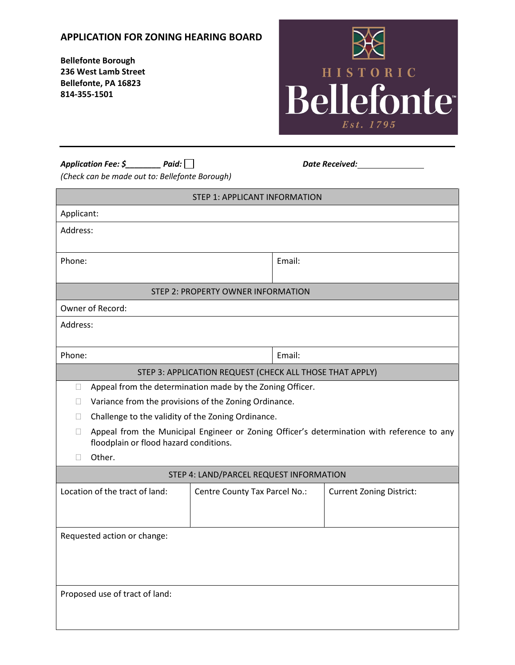## **APPLICATION FOR ZONING HEARING BOARD**

**Bellefonte Borough 236 West Lamb Street Bellefonte, PA 16823 814-355-1501**



| Paid: $\lceil$<br>Application Fee: \$ |  |
|---------------------------------------|--|
|---------------------------------------|--|

*Application Fee: \$\_\_\_\_\_\_\_\_ Paid: Date Received:*

*(Check can be made out to: Bellefonte Borough)*

| <b>STEP 1: APPLICANT INFORMATION</b>                                                                                                           |                               |        |                                 |  |  |
|------------------------------------------------------------------------------------------------------------------------------------------------|-------------------------------|--------|---------------------------------|--|--|
| Applicant:                                                                                                                                     |                               |        |                                 |  |  |
| Address:                                                                                                                                       |                               |        |                                 |  |  |
| Phone:                                                                                                                                         |                               | Email: |                                 |  |  |
| <b>STEP 2: PROPERTY OWNER INFORMATION</b>                                                                                                      |                               |        |                                 |  |  |
| Owner of Record:                                                                                                                               |                               |        |                                 |  |  |
| Address:                                                                                                                                       |                               |        |                                 |  |  |
| Phone:                                                                                                                                         |                               | Email: |                                 |  |  |
| STEP 3: APPLICATION REQUEST (CHECK ALL THOSE THAT APPLY)                                                                                       |                               |        |                                 |  |  |
| Appeal from the determination made by the Zoning Officer.<br>$\Box$                                                                            |                               |        |                                 |  |  |
| Variance from the provisions of the Zoning Ordinance.<br>$\Box$                                                                                |                               |        |                                 |  |  |
| Challenge to the validity of the Zoning Ordinance.<br>$\Box$                                                                                   |                               |        |                                 |  |  |
| Appeal from the Municipal Engineer or Zoning Officer's determination with reference to any<br>$\Box$<br>floodplain or flood hazard conditions. |                               |        |                                 |  |  |
| Other.<br>П                                                                                                                                    |                               |        |                                 |  |  |
| STEP 4: LAND/PARCEL REQUEST INFORMATION                                                                                                        |                               |        |                                 |  |  |
| Location of the tract of land:                                                                                                                 | Centre County Tax Parcel No.: |        | <b>Current Zoning District:</b> |  |  |
| Requested action or change:                                                                                                                    |                               |        |                                 |  |  |
|                                                                                                                                                |                               |        |                                 |  |  |
| Proposed use of tract of land:                                                                                                                 |                               |        |                                 |  |  |